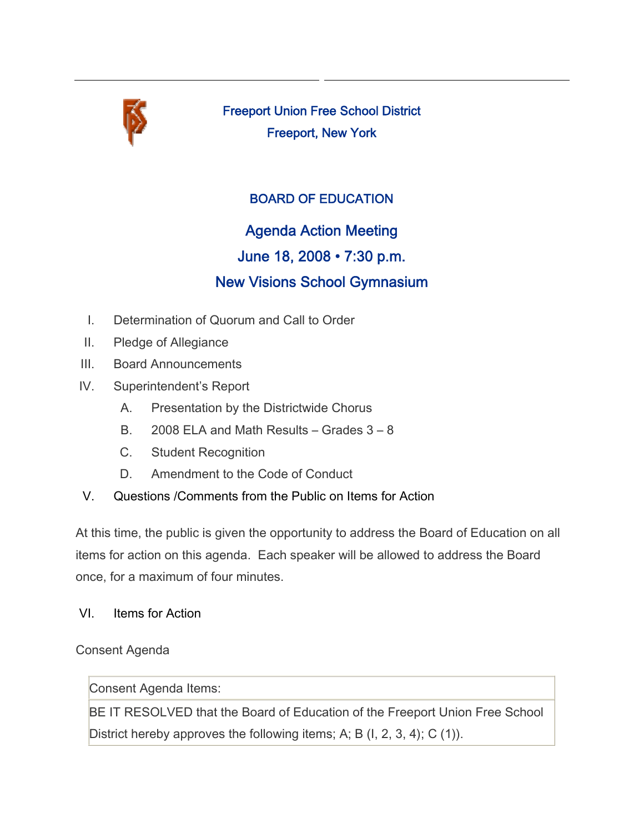

Freeport Union Free School District Freeport, New York

## BOARD OF EDUCATION

# Agenda Action Meeting

# June 18, 2008 • 7:30 p.m.

# New Visions School Gymnasium

- I. Determination of Quorum and Call to Order
- II. Pledge of Allegiance
- III. Board Announcements
- IV. Superintendent's Report
	- A. Presentation by the Districtwide Chorus
	- B. 2008 ELA and Math Results Grades 3 8
	- C. Student Recognition
	- D. Amendment to the Code of Conduct
- V. Questions /Comments from the Public on Items for Action

At this time, the public is given the opportunity to address the Board of Education on all items for action on this agenda. Each speaker will be allowed to address the Board once, for a maximum of four minutes.

## VI. Items for Action

#### Consent Agenda

Consent Agenda Items:

BE IT RESOLVED that the Board of Education of the Freeport Union Free School District hereby approves the following items; A; B (I, 2, 3, 4); C (1)).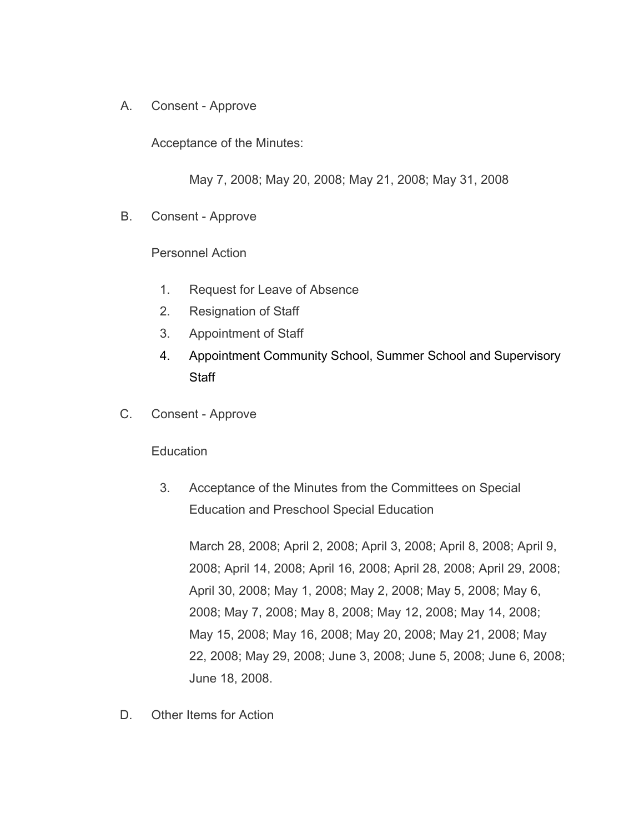A. Consent - Approve

Acceptance of the Minutes:

May 7, 2008; May 20, 2008; May 21, 2008; May 31, 2008

B. Consent - Approve

Personnel Action

- 1. Request for Leave of Absence
- 2. Resignation of Staff
- 3. Appointment of Staff
- 4. Appointment Community School, Summer School and Supervisory **Staff**
- C. Consent Approve

#### **Education**

3. Acceptance of the Minutes from the Committees on Special Education and Preschool Special Education

March 28, 2008; April 2, 2008; April 3, 2008; April 8, 2008; April 9, 2008; April 14, 2008; April 16, 2008; April 28, 2008; April 29, 2008; April 30, 2008; May 1, 2008; May 2, 2008; May 5, 2008; May 6, 2008; May 7, 2008; May 8, 2008; May 12, 2008; May 14, 2008; May 15, 2008; May 16, 2008; May 20, 2008; May 21, 2008; May 22, 2008; May 29, 2008; June 3, 2008; June 5, 2008; June 6, 2008; June 18, 2008.

D. Other Items for Action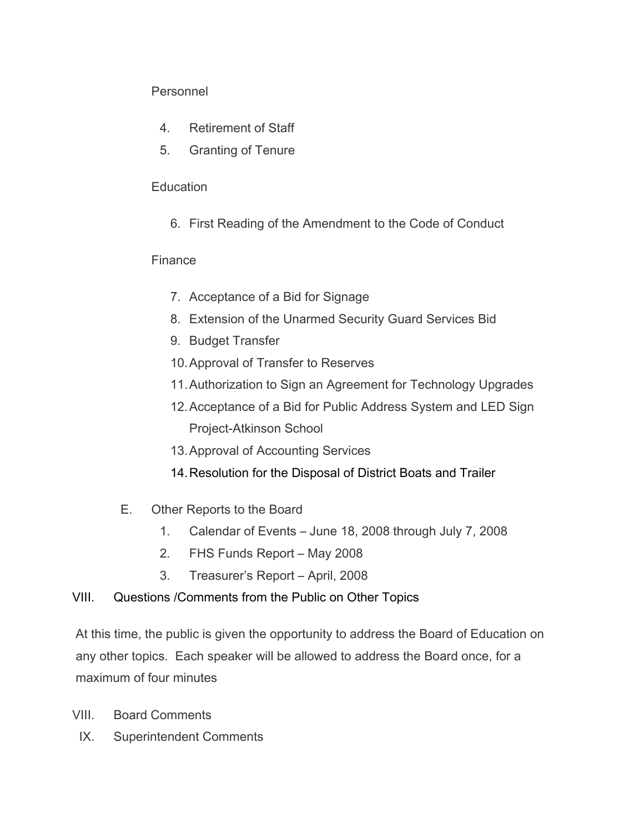## Personnel

- 4. Retirement of Staff
- 5. Granting of Tenure

## Education

6. First Reading of the Amendment to the Code of Conduct

## **Finance**

- 7. Acceptance of a Bid for Signage
- 8. Extension of the Unarmed Security Guard Services Bid
- 9. Budget Transfer
- 10.Approval of Transfer to Reserves
- 11.Authorization to Sign an Agreement for Technology Upgrades
- 12.Acceptance of a Bid for Public Address System and LED Sign Project-Atkinson School
- 13.Approval of Accounting Services
- 14.Resolution for the Disposal of District Boats and Trailer
- E. Other Reports to the Board
	- 1. Calendar of Events June 18, 2008 through July 7, 2008
	- 2. FHS Funds Report May 2008
	- 3. Treasurer's Report April, 2008

## VIII. Questions /Comments from the Public on Other Topics

At this time, the public is given the opportunity to address the Board of Education on any other topics. Each speaker will be allowed to address the Board once, for a maximum of four minutes

- VIII. Board Comments
	- IX. Superintendent Comments